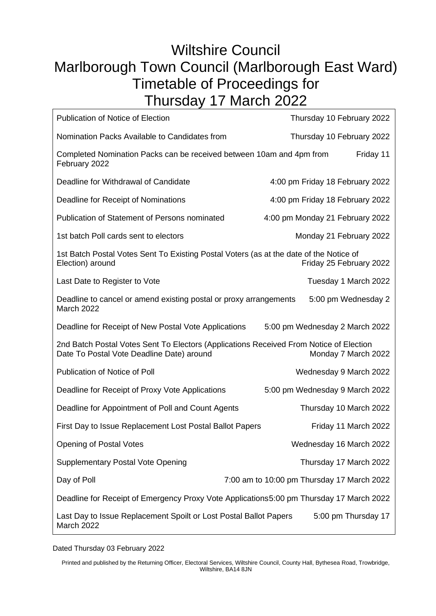## Wiltshire Council Marlborough Town Council (Marlborough East Ward) Timetable of Proceedings for Thursday 17 March 2022

| <b>Publication of Notice of Election</b>                                                                                            | Thursday 10 February 2022                  |
|-------------------------------------------------------------------------------------------------------------------------------------|--------------------------------------------|
| Nomination Packs Available to Candidates from                                                                                       | Thursday 10 February 2022                  |
| Completed Nomination Packs can be received between 10am and 4pm from<br>February 2022                                               | Friday 11                                  |
| Deadline for Withdrawal of Candidate                                                                                                | 4:00 pm Friday 18 February 2022            |
| Deadline for Receipt of Nominations                                                                                                 | 4:00 pm Friday 18 February 2022            |
| <b>Publication of Statement of Persons nominated</b>                                                                                | 4:00 pm Monday 21 February 2022            |
| 1st batch Poll cards sent to electors                                                                                               | Monday 21 February 2022                    |
| 1st Batch Postal Votes Sent To Existing Postal Voters (as at the date of the Notice of<br>Election) around                          | Friday 25 February 2022                    |
| Last Date to Register to Vote                                                                                                       | Tuesday 1 March 2022                       |
| Deadline to cancel or amend existing postal or proxy arrangements<br>March 2022                                                     | 5:00 pm Wednesday 2                        |
| Deadline for Receipt of New Postal Vote Applications                                                                                | 5:00 pm Wednesday 2 March 2022             |
| 2nd Batch Postal Votes Sent To Electors (Applications Received From Notice of Election<br>Date To Postal Vote Deadline Date) around | Monday 7 March 2022                        |
| Publication of Notice of Poll                                                                                                       | Wednesday 9 March 2022                     |
| Deadline for Receipt of Proxy Vote Applications                                                                                     | 5:00 pm Wednesday 9 March 2022             |
| Deadline for Appointment of Poll and Count Agents                                                                                   | Thursday 10 March 2022                     |
| First Day to Issue Replacement Lost Postal Ballot Papers                                                                            | Friday 11 March 2022                       |
| <b>Opening of Postal Votes</b>                                                                                                      | Wednesday 16 March 2022                    |
| <b>Supplementary Postal Vote Opening</b>                                                                                            | Thursday 17 March 2022                     |
| Day of Poll                                                                                                                         | 7:00 am to 10:00 pm Thursday 17 March 2022 |
| Deadline for Receipt of Emergency Proxy Vote Applications5:00 pm Thursday 17 March 2022                                             |                                            |
| Last Day to Issue Replacement Spoilt or Lost Postal Ballot Papers<br>5:00 pm Thursday 17<br>March 2022                              |                                            |

Dated Thursday 03 February 2022